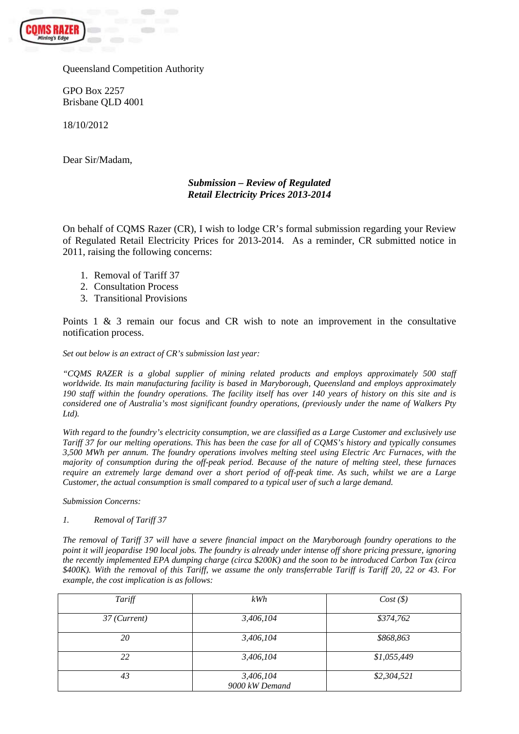

Queensland Competition Authority

GPO Box 2257 Brisbane QLD 4001

18/10/2012

Dear Sir/Madam,

## *Submission – Review of Regulated Retail Electricity Prices 2013-2014*

On behalf of CQMS Razer (CR), I wish to lodge CR's formal submission regarding your Review of Regulated Retail Electricity Prices for 2013-2014. As a reminder, CR submitted notice in 2011, raising the following concerns:

- 1. Removal of Tariff 37
- 2. Consultation Process
- 3. Transitional Provisions

Points 1 & 3 remain our focus and CR wish to note an improvement in the consultative notification process.

*Set out below is an extract of CR's submission last year:* 

*"CQMS RAZER is a global supplier of mining related products and employs approximately 500 staff worldwide. Its main manufacturing facility is based in Maryborough, Queensland and employs approximately 190 staff within the foundry operations. The facility itself has over 140 years of history on this site and is considered one of Australia's most significant foundry operations, (previously under the name of Walkers Pty Ltd).* 

*With regard to the foundry's electricity consumption, we are classified as a Large Customer and exclusively use Tariff 37 for our melting operations. This has been the case for all of CQMS's history and typically consumes 3,500 MWh per annum. The foundry operations involves melting steel using Electric Arc Furnaces, with the majority of consumption during the off-peak period. Because of the nature of melting steel, these furnaces require an extremely large demand over a short period of off-peak time. As such, whilst we are a Large Customer, the actual consumption is small compared to a typical user of such a large demand.* 

*Submission Concerns:* 

*1. Removal of Tariff 37* 

*The removal of Tariff 37 will have a severe financial impact on the Maryborough foundry operations to the point it will jeopardise 190 local jobs. The foundry is already under intense off shore pricing pressure, ignoring the recently implemented EPA dumping charge (circa \$200K) and the soon to be introduced Carbon Tax (circa \$400K). With the removal of this Tariff, we assume the only transferrable Tariff is Tariff 20, 22 or 43. For example, the cost implication is as follows:* 

| Tariff                  | kWh                         | Cost(S)     |
|-------------------------|-----------------------------|-------------|
| $37$ ( <i>Current</i> ) | 3,406,104                   | \$374,762   |
| 20                      | 3,406,104                   | \$868,863   |
| 22                      | 3,406,104                   | \$1,055,449 |
| 43                      | 3,406,104<br>9000 kW Demand | \$2,304,521 |